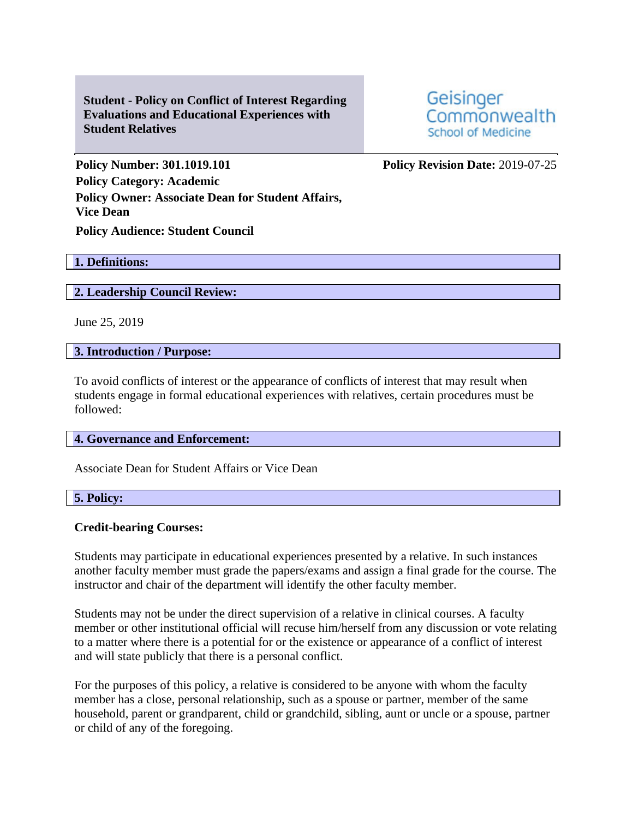**Student - Policy on Conflict of Interest Regarding Evaluations and Educational Experiences with Student Relatives**

Geisinger Commonwealth **School of Medicine** 

**Policy Number: 301.1019.101 Policy Revision Date:** 2019-07-25 **Policy Category: Academic Policy Owner: Associate Dean for Student Affairs, Vice Dean Policy Audience: Student Council**

# **1. Definitions:**

## **2. Leadership Council Review:**

June 25, 2019

## **3. Introduction / Purpose:**

To avoid conflicts of interest or the appearance of conflicts of interest that may result when students engage in formal educational experiences with relatives, certain procedures must be followed:

## **4. Governance and Enforcement:**

Associate Dean for Student Affairs or Vice Dean

# **5. Policy:**

## **Credit-bearing Courses:**

Students may participate in educational experiences presented by a relative. In such instances another faculty member must grade the papers/exams and assign a final grade for the course. The instructor and chair of the department will identify the other faculty member.

Students may not be under the direct supervision of a relative in clinical courses. A faculty member or other institutional official will recuse him/herself from any discussion or vote relating to a matter where there is a potential for or the existence or appearance of a conflict of interest and will state publicly that there is a personal conflict.

For the purposes of this policy, a relative is considered to be anyone with whom the faculty member has a close, personal relationship, such as a spouse or partner, member of the same household, parent or grandparent, child or grandchild, sibling, aunt or uncle or a spouse, partner or child of any of the foregoing.